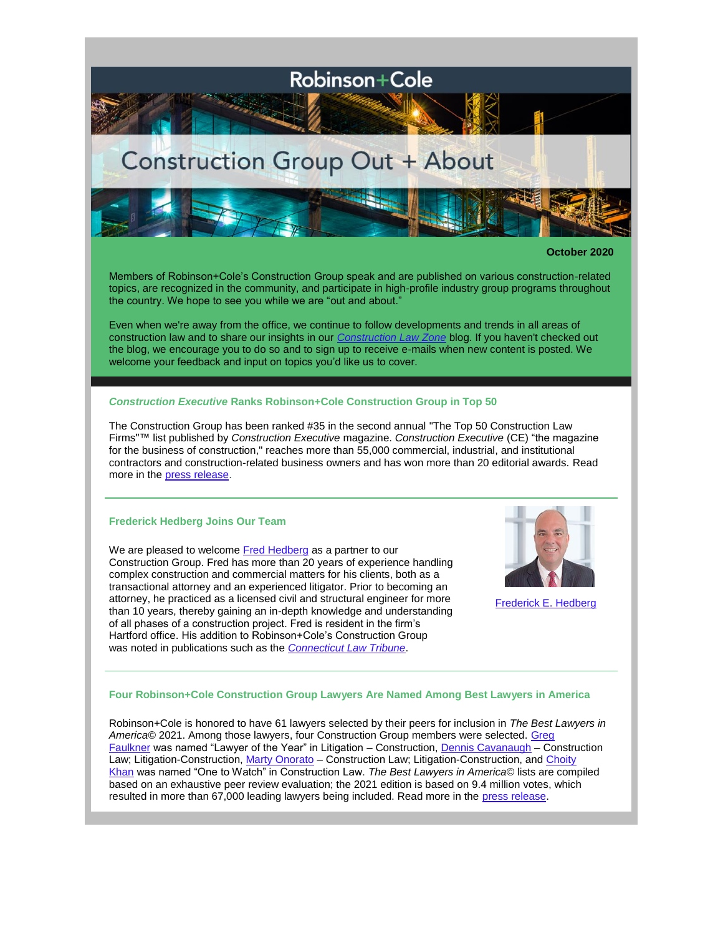

**October 2020**

Members of Robinson+Cole's Construction Group speak and are published on various construction-related topics, are recognized in the community, and participate in high-profile industry group programs throughout the country. We hope to see you while we are "out and about."

Even when we're away from the office, we continue to follow developments and trends in all areas of construction law and to share our insights in our *[Construction Law Zone](https://www.constructionlawzone.com/)* blog. If you haven't checked out the blog, we encourage you to do so and to sign up to receive e-mails when new content is posted. We welcome your feedback and input on topics you'd like us to cover.

# *Construction Executive* **Ranks Robinson+Cole Construction Group in Top 50**

The Construction Group has been ranked #35 in the second annual ["The Top 50 Construction Law](https://ce.magxcdn.com/web/2020-08_ConstructionLawSection.pdf)  [Firms"](https://ce.magxcdn.com/web/2020-08_ConstructionLawSection.pdf)™ list published by *Construction Executive* magazine. *Construction Executive* (CE) "the magazine for the business of construction," reaches more than 55,000 commercial, industrial, and institutional contractors and construction-related business owners and has won more than 20 editorial awards. Read more in the [press release.](http://www.rc.com/upload/Press-Release_CE-Top-50-Construction-Law-Firms_6-22-20.pdf)

## **Frederick Hedberg Joins Our Team**

We are pleased to welcome **[Fred Hedberg](http://www.rc.com/people/FrederickHedberg.cfm)** as a partner to our Construction Group. Fred has more than 20 years of experience handling complex construction and commercial matters for his clients, both as a transactional attorney and an experienced litigator. Prior to becoming an attorney, he practiced as a licensed civil and structural engineer for more than 10 years, thereby gaining an in-depth knowledge and understanding of all phases of a construction project. Fred is resident in the firm's Hartford office. His addition to Robinson+Cole's Construction Group was noted in publications such as the *[Connecticut Law Tribune](https://www.law.com/ctlawtribune/2020/09/04/robinson-cole-welcomes-partner-frederick-hedberg/?%20and%20High%20Profile%20Magazine%20https:/www.high-profile.com/robinsoncole-welcomes-hedberg/)*.



[Frederick E. Hedberg](http://www.rc.com/people/FrederickHedberg.cfm)

### **Four Robinson+Cole Construction Group Lawyers Are Named Among Best Lawyers in America**

Robinson+Cole is honored to have 61 lawyers selected by their peers for inclusion in *The Best Lawyers in America©* 2021. Among those lawyers, four Construction Group members were selected. [Greg](http://www.rc.com/people/GregoryRFaulkner.cfm)  [Faulkner](http://www.rc.com/people/GregoryRFaulkner.cfm) was named "Lawyer of the Year" in Litigation – Construction, [Dennis Cavanaugh](http://www.rc.com/people/DennisCCavanaugh.cfm) – Construction Law; Litigation-Construction, [Marty Onorato](http://www.rc.com/people/MartinAOnorato.cfm) - Construction Law; Litigation-Construction, and Choity [Khan](http://www.rc.com/people/ChoityKhan.cfm) was named "One to Watch" in Construction Law. *The Best Lawyers in America©* lists are compiled based on an exhaustive peer review evaluation; the 2021 edition is based on 9.4 million votes, which resulted in more than 67,000 leading lawyers being included. Read more in the [press release.](http://www.rc.com/upload/Press-Release_Best-Lawyers-2020_8-20-20.pdf)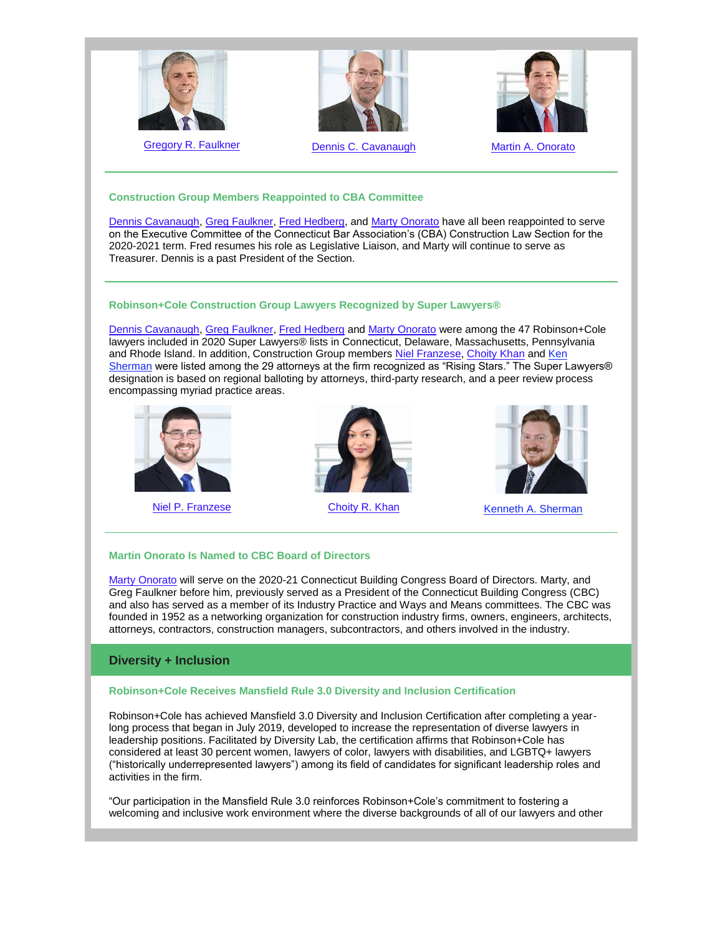

[Gregory R. Faulkner](http://www.rc.com/people/GregoryRFaulkner.cfm) **[Dennis C. Cavanaugh](http://www.rc.com/people/DennisCCavanaugh.cfm)** [Martin A. Onorato](http://www.rc.com/people/MartinAOnorato.cfm)





## **Construction Group Members Reappointed to CBA Committee**

[Dennis Cavanaugh,](http://www.rc.com/people/DennisCCavanaugh.cfm) [Greg Faulkner,](http://www.rc.com/people/GregoryRFaulkner.cfm) [Fred Hedberg,](http://www.rc.com/people/FrederickHedberg.cfm) and [Marty Onorato](http://www.rc.com/people/MartinAOnorato.cfm) have all been reappointed to serve on the Executive Committee of the Connecticut Bar Association's (CBA) Construction Law Section for the 2020-2021 term. Fred resumes his role as Legislative Liaison, and Marty will continue to serve as Treasurer. Dennis is a past President of the Section.

# **Robinson+Cole Construction Group Lawyers Recognized by Super Lawyers®**

[Dennis Cavanaugh,](http://www.rc.com/people/DennisCCavanaugh.cfm) [Greg Faulkner,](http://www.rc.com/people/GregoryRFaulkner.cfm) [Fred Hedberg](http://www.rc.com/people/FrederickHedberg.cfm) and [Marty Onorato](http://www.rc.com/people/MartinAOnorato.cfm) were among the 47 Robinson+Cole lawyers included in 2020 Super Lawyers® lists in Connecticut, Delaware, Massachusetts, Pennsylvania and Rhode Island. In addition, Construction Group members [Niel Franzese,](http://www.rc.com/people/AnielloPFranzese.cfm) [Choity Khan](http://www.rc.com/people/ChoityKhan.cfm) and [Ken](http://www.rc.com/people/KennethASherman.cfm)  [Sherman](http://www.rc.com/people/KennethASherman.cfm) were listed among the 29 attorneys at the firm recognized as "Rising Stars." The Super Lawyers® designation is based on regional balloting by attorneys, third-party research, and a peer review process encompassing myriad practice areas.







[Niel P. Franzese](http://www.rc.com/people/AnielloPFranzese.cfm) [Choity R. Khan](http://www.rc.com/people/ChoityKhan.cfm) [Kenneth A. Sherman](http://www.rc.com/people/KennethASherman.cfm)

# **Martin Onorato Is Named to CBC Board of Directors**

[Marty Onorato](http://www.rc.com/people/MartinAOnorato.cfm) will serve on the 2020-21 Connecticut Building Congress Board of Directors. Marty, and Greg Faulkner before him, previously served as a President of the Connecticut Building Congress (CBC) and also has served as a member of its Industry Practice and Ways and Means committees. The CBC was founded in 1952 as a networking organization for construction industry firms, owners, engineers, architects, attorneys, contractors, construction managers, subcontractors, and others involved in the industry.

# **Diversity + Inclusion**

# **Robinson+Cole Receives Mansfield Rule 3.0 Diversity and Inclusion Certification**

Robinson+Cole has achieved Mansfield 3.0 Diversity and Inclusion Certification after completing a yearlong process that began in July 2019, developed to increase the representation of diverse lawyers in leadership positions. Facilitated by Diversity Lab, the certification affirms that Robinson+Cole has considered at least 30 percent women, lawyers of color, lawyers with disabilities, and LGBTQ+ lawyers ("historically underrepresented lawyers") among its field of candidates for significant leadership roles and activities in the firm.

"Our participation in the Mansfield Rule 3.0 reinforces Robinson+Cole's commitment to fostering a welcoming and inclusive work environment where the diverse backgrounds of all of our lawyers and other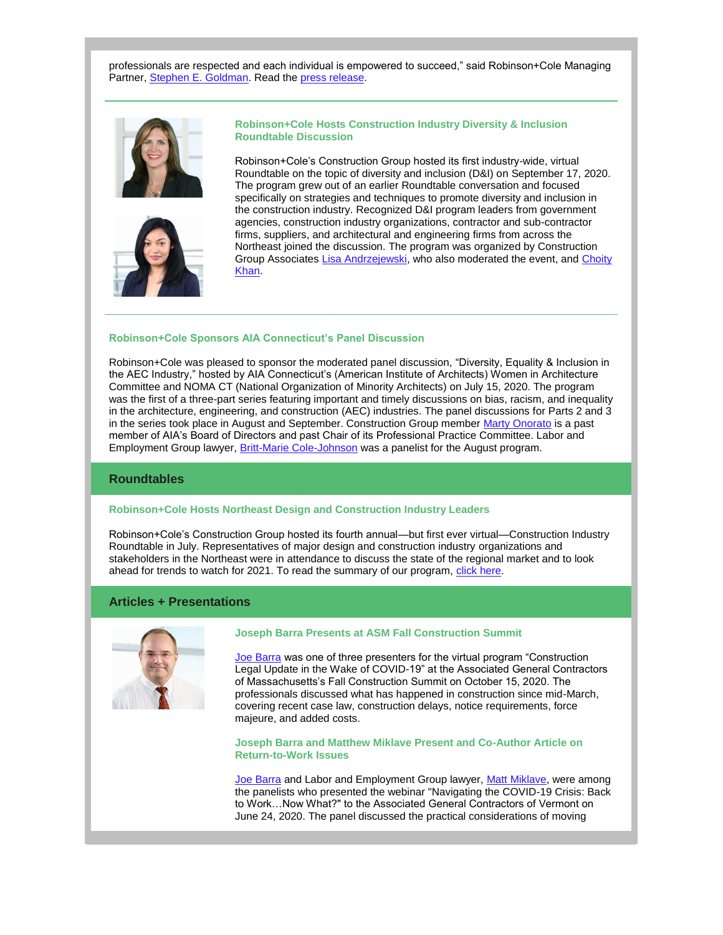professionals are respected and each individual is empowered to succeed," said Robinson+Cole Managing Partner, [Stephen E. Goldman.](http://www.rc.com/people/StephenEGoldman.cfm) Read the [press release.](http://www.rc.com/upload/Press-Release_Mansfield-3-0-Certification_9-15-20.pdf)





**Robinson+Cole Hosts Construction Industry Diversity & Inclusion Roundtable Discussion**

Robinson+Cole's Construction Group hosted its first industry-wide, virtual Roundtable on the topic of diversity and inclusion (D&I) on September 17, 2020. The program grew out of an earlier Roundtable conversation and focused specifically on strategies and techniques to promote diversity and inclusion in the construction industry. Recognized D&I program leaders from government agencies, construction industry organizations, contractor and sub-contractor firms, suppliers, and architectural and engineering firms from across the Northeast joined the discussion. The program was organized by Construction Group Associates [Lisa Andrzejewski,](http://www.rc.com/people/LisaBAndrzejewski.cfm) who also moderated the event, and Choity [Khan.](http://www.rc.com/people/ChoityKhan.cfm)

### **Robinson+Cole Sponsors AIA Connecticut's Panel Discussion**

Robinson+Cole was pleased to sponsor the moderated panel discussion, "Diversity, Equality & Inclusion in the AEC Industry," hosted by AIA Connecticut's (American Institute of Architects) Women in Architecture Committee and NOMA CT (National Organization of Minority Architects) on July 15, 2020. The program was the first of a three-part series featuring important and timely discussions on bias, racism, and inequality in the architecture, engineering, and construction (AEC) industries. The panel discussions for Parts 2 and 3 in the series took place in August and September. Construction Group member [Marty Onorato](http://www.rc.com/people/MartinAOnorato.cfm) is a past member of AIA's Board of Directors and past Chair of its Professional Practice Committee. Labor and Employment Group lawyer, **[Britt-Marie Cole-Johnson](http://www.rc.com/people/Britt-MarieKCole-Johnson.cfm)** was a panelist for the August program.

### **Roundtables**

### **Robinson+Cole Hosts Northeast Design and Construction Industry Leaders**

Robinson+Cole's Construction Group hosted its fourth annual—but first ever virtual—Construction Industry Roundtable in July. Representatives of major design and construction industry organizations and stakeholders in the Northeast were in attendance to discuss the state of the regional market and to look ahead for trends to watch for 2021. To read the summary of our program, [click here.](https://www.constructionlawzone.com/2020/07/robinsoncole-hosts-fourth-construction-industry-roundtable/)

# **Articles + Presentations**



#### **Joseph Barra Presents at ASM Fall Construction Summit**

[Joe Barra](http://www.rc.com/people/JosephABarra.cfm) was one of three presenters for the virtual program "Construction Legal Update in the Wake of COVID-19" at the Associated General Contractors of Massachusetts's Fall Construction Summit on October 15, 2020. The professionals discussed what has happened in construction since mid-March, covering recent case law, construction delays, notice requirements, force majeure, and added costs.

**Joseph Barra and Matthew Miklave Present and Co-Author Article on Return-to-Work Issues**

[Joe Barra](http://www.rc.com/people/JosephABarra.cfm) and Labor and Employment Group lawyer, [Matt Miklave,](http://www.rc.com/people/MatthewTMiklave.cfm) were among the panelists who presented the webinar "Navigating the COVID-19 Crisis: Back to Work…Now What?" to the Associated General Contractors of Vermont on June 24, 2020. The panel discussed the practical considerations of moving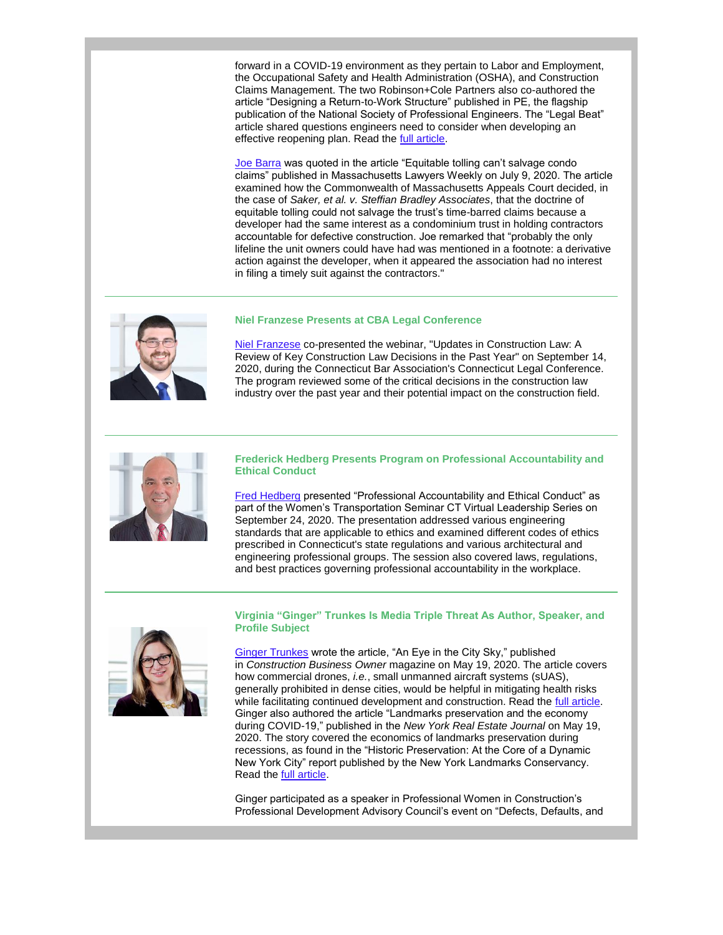forward in a COVID-19 environment as they pertain to Labor and Employment, the Occupational Safety and Health Administration (OSHA), and Construction Claims Management. The two Robinson+Cole Partners also co-authored the article "Designing a Return-to-Work Structure" published in PE, the flagship publication of the National Society of Professional Engineers. The "Legal Beat" article shared questions engineers need to consider when developing an effective reopening plan. Read the [full article.](http://www.rc.com/upload/PE-Magazine-July-August-2020-13-14.pdf)

[Joe Barra](http://www.rc.com/people/JosephABarra.cfm) was quoted in the article "Equitable tolling can't salvage condo claims" published in Massachusetts Lawyers Weekly on July 9, 2020. The article examined how the Commonwealth of Massachusetts Appeals Court decided, in the case of *Saker, et al. v. Steffian Bradley Associates*, that the doctrine of equitable tolling could not salvage the trust's time-barred claims because a developer had the same interest as a condominium trust in holding contractors accountable for defective construction. Joe remarked that "probably the only lifeline the unit owners could have had was mentioned in a footnote: a derivative action against the developer, when it appeared the association had no interest in filing a timely suit against the contractors."

## **Niel Franzese Presents at CBA Legal Conference**



[Niel Franzese](http://www.rc.com/people/AnielloPFranzese.cfm) co-presented the webinar, "Updates in Construction Law: A Review of Key Construction Law Decisions in the Past Year" on September 14, 2020, during the Connecticut Bar Association's Connecticut Legal Conference. The program reviewed some of the critical decisions in the construction law industry over the past year and their potential impact on the construction field.



### **Frederick Hedberg Presents Program on Professional Accountability and Ethical Conduct**

[Fred Hedberg](http://www.rc.com/people/FrederickHedberg.cfm) presented "Professional Accountability and Ethical Conduct" as part of the Women's Transportation Seminar CT Virtual Leadership Series on September 24, 2020. The presentation addressed various engineering standards that are applicable to ethics and examined different codes of ethics prescribed in Connecticut's state regulations and various architectural and engineering professional groups. The session also covered laws, regulations, and best practices governing professional accountability in the workplace.



## **Virginia "Ginger" Trunkes Is Media Triple Threat As Author, Speaker, and Profile Subject**

[Ginger Trunkes](http://www.rc.com/people/VirginiaKTrunkes.cfm) wrote the article, "An Eye in the City Sky," published in *Construction Business Owner* magazine on May 19, 2020. The article covers how commercial drones, *i.e.*, small unmanned aircraft systems (sUAS), generally prohibited in dense cities, would be helpful in mitigating health risks while facilitating continued development and construction. Read the full article. Ginger also authored the article "Landmarks preservation and the economy during COVID-19," published in the *New York Real Estate Journal* on May 19, 2020. The story covered the economics of landmarks preservation during recessions, as found in the "Historic Preservation: At the Core of a Dynamic New York City" report published by the New York Landmarks Conservancy. Read the [full article.](https://nyrej.com/landmarks-preservation-and-the-economy-during-covid-19-by-virginia-trunkes)

Ginger participated as a speaker in Professional Women in Construction's Professional Development Advisory Council's event on "Defects, Defaults, and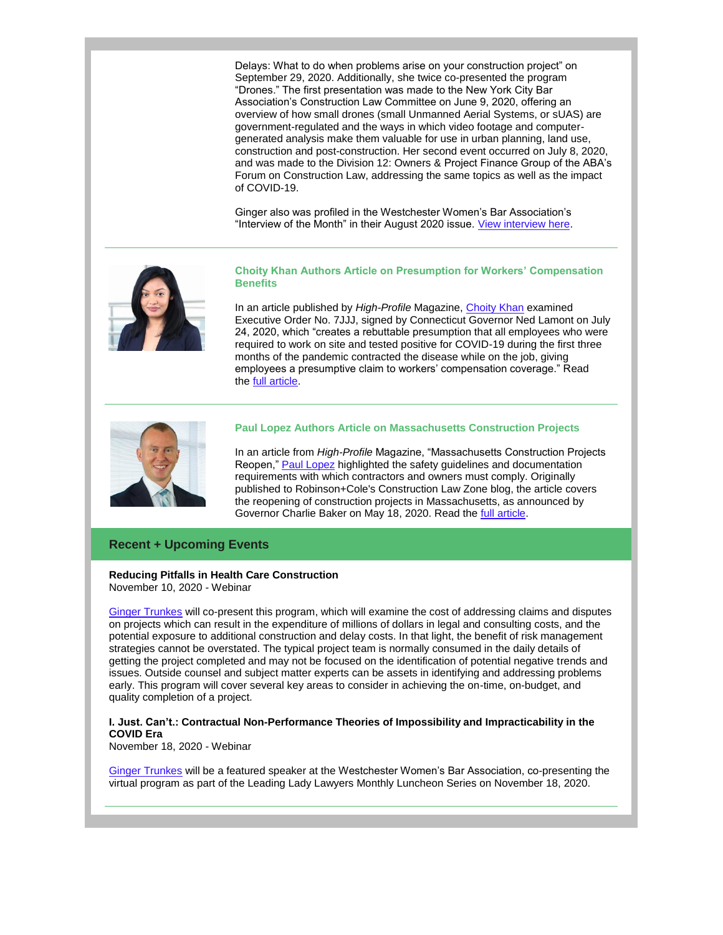Delays: What to do when problems arise on your construction project" on September 29, 2020. Additionally, she twice co-presented the program "Drones." The first presentation was made to the New York City Bar Association's Construction Law Committee on June 9, 2020, offering an overview of how small drones (small Unmanned Aerial Systems, or sUAS) are government-regulated and the ways in which video footage and computergenerated analysis make them valuable for use in urban planning, land use, construction and post-construction. Her second event occurred on July 8, 2020, and was made to the Division 12: Owners & Project Finance Group of the ABA's Forum on Construction Law, addressing the same topics as well as the impact of COVID-19.

Ginger also was profiled in the Westchester Women's Bar Association's "Interview of the Month" in their August 2020 issue. [View interview here.](https://files.constantcontact.com/45ae5256701/bbc7579e-a196-4448-abad-b6204cdd222f.pdf)



**Choity Khan Authors Article on Presumption for Workers' Compensation Benefits**

In an article published by *High-Profile* Magazine, [Choity Khan](http://www.rc.com/people/ChoityKhan.cfm) examined Executive Order No. 7JJJ, signed by Connecticut Governor Ned Lamont on July 24, 2020, which "creates a rebuttable presumption that all employees who were required to work on site and tested positive for COVID-19 during the first three months of the pandemic contracted the disease while on the job, giving employees a presumptive claim to workers' compensation coverage." Read the [full article.](https://www.high-profile.com/gov-lamont-issues-executive-order-creating-rebuttable-presumption-for-workers-compensation-benefits/)



## **Paul Lopez Authors Article on Massachusetts Construction Projects**

In an article from *High-Profile* Magazine, "Massachusetts Construction Projects Reopen," [Paul Lopez](http://www.rc.com/people/PaulSLopez.cfm) highlighted the safety guidelines and documentation requirements with which contractors and owners must comply. Originally published to Robinson+Cole's Construction Law Zone blog, the article covers the reopening of construction projects in Massachusetts, as announced by Governor Charlie Baker on May 18, 2020. Read the [full article.](https://www.high-profile.com/mass-construction-reopen/)

# **Recent + Upcoming Events**

### **Reducing Pitfalls in Health Care Construction** November 10, 2020 - Webinar

[Ginger Trunkes](http://www.rc.com/people/VirginiaKTrunkes.cfm) will co-present this program, which will examine the cost of addressing claims and disputes on projects which can result in the expenditure of millions of dollars in legal and consulting costs, and the potential exposure to additional construction and delay costs. In that light, the benefit of risk management strategies cannot be overstated. The typical project team is normally consumed in the daily details of getting the project completed and may not be focused on the identification of potential negative trends and issues. Outside counsel and subject matter experts can be assets in identifying and addressing problems early. This program will cover several key areas to consider in achieving the on-time, on-budget, and quality completion of a project.

## **I. Just. Can't.: Contractual Non-Performance Theories of Impossibility and Impracticability in the COVID Era**

November 18, 2020 - Webinar

[Ginger Trunkes](http://www.rc.com/people/VirginiaKTrunkes.cfm) will be a featured speaker at the Westchester Women's Bar Association, co-presenting the virtual program as part of the Leading Lady Lawyers Monthly Luncheon Series on November 18, 2020.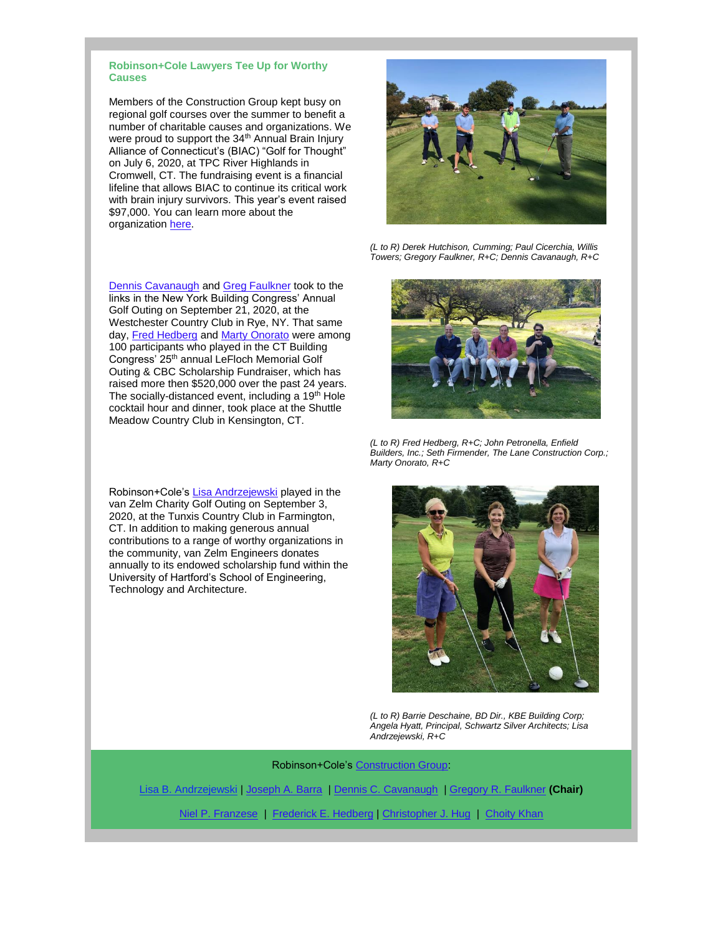### **Robinson+Cole Lawyers Tee Up for Worthy Causes**

Members of the Construction Group kept busy on regional golf courses over the summer to benefit a number of charitable causes and organizations. We were proud to support the 34<sup>th</sup> Annual Brain Injury Alliance of Connecticut's (BIAC) "Golf for Thought" on July 6, 2020, at TPC River Highlands in Cromwell, CT. The fundraising event is a financial lifeline that allows BIAC to continue its critical work with brain injury survivors. This year's event raised \$97,000. You can learn more about the organization [here.](http://www.biact.org/)

[Dennis Cavanaugh](http://www.rc.com/people/DennisCCavanaugh.cfm) and [Greg Faulkner](http://www.rc.com/people/GregoryRFaulkner.cfm) took to the links in the New York Building Congress' Annual Golf Outing on September 21, 2020, at the Westchester Country Club in Rye, NY. That same day, [Fred Hedberg](http://www.rc.com/people/FrederickHedberg.cfm) and [Marty Onorato](http://www.rc.com/people/MartinAOnorato.cfm) were among 100 participants who played in the CT Building Congress' 25th annual LeFloch Memorial Golf Outing & CBC Scholarship Fundraiser, which has raised more then \$520,000 over the past 24 years. The socially-distanced event, including a 19<sup>th</sup> Hole cocktail hour and dinner, took place at the Shuttle Meadow Country Club in Kensington, CT.

Robinson+Cole's [Lisa Andrzejewski](http://www.rc.com/people/LisaBAndrzejewski.cfm) played in the van Zelm Charity Golf Outing on September 3, 2020, at the Tunxis Country Club in Farmington, CT. In addition to making generous annual contributions to a range of worthy organizations in the community, van Zelm Engineers donates annually to its endowed scholarship fund within the University of Hartford's School of Engineering, Technology and Architecture.



*(L to R) Derek Hutchison, Cumming; Paul Cicerchia, Willis Towers; Gregory Faulkner, R+C; Dennis Cavanaugh, R+C*



*(L to R) Fred Hedberg, R+C; John Petronella, Enfield Builders, Inc.; Seth Firmender, The Lane Construction Corp.; Marty Onorato, R+C*



*(L to R) Barrie Deschaine, BD Dir., KBE Building Corp; Angela Hyatt, Principal, Schwartz Silver Architects; Lisa Andrzejewski, R+C*

### Robinson+Cole's [Construction Group:](http://www.rc.com/practices/ConstructionLaw/index.cfm)

[Lisa B. Andrzejewski](http://www.rc.com/people/LisaBAndrzejewski.cfm) | [Joseph A. Barra](http://www.rc.com/people/JosephABarra.cfm) | [Dennis C. Cavanaugh](http://www.rc.com/people/DennisCCavanaugh.cfm) | [Gregory R. Faulkner](http://www.rc.com/people/GregoryRFaulkner.cfm) **(Chair)**

[Niel P. Franzese](http://www.rc.com/people/AnielloPFranzese.cfm) | [Frederick E. Hedberg](http://www.rc.com/people/FrederickHedberg.cfm) | [Christopher J. Hug](http://www.rc.com/people/ChristopherJHug.cfm) | [Choity Khan](http://www.rc.com/people/ChoityKhan.cfm)